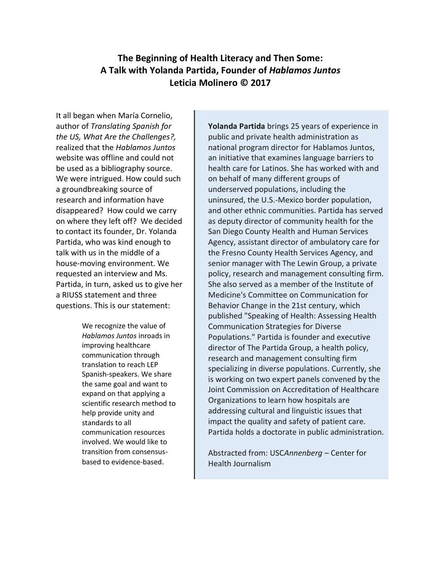# **The Beginning of Health Literacy and Then Some: A Talk with Yolanda Partida, Founder of** *Hablamos Juntos* **Leticia Molinero © 2017**

It all began when María Cornelio, author of *Translating Spanish for the US, What Are the Challenges?,* realized that the *Hablamos Juntos* website was offline and could not be used as a bibliography source. We were intrigued. How could such a groundbreaking source of research and information have disappeared? How could we carry on where they left off? We decided to contact its founder, Dr. Yolanda Partida, who was kind enough to talk with us in the middle of a house-moving environment. We requested an interview and Ms. Partida, in turn, asked us to give her a RIUSS statement and three questions. This is our statement:

> We recognize the value of *Hablamos Juntos* inroads in improving healthcare communication through translation to reach LEP Spanish-speakers. We share the same goal and want to expand on that applying a scientific research method to help provide unity and standards to all communication resources involved. We would like to transition from consensusbased to evidence-based.

**Yolanda Partida** brings 25 years of experience in public and private health administration as national program director for Hablamos Juntos, an initiative that examines language barriers to health care for Latinos. She has worked with and on behalf of many different groups of underserved populations, including the uninsured, the U.S.-Mexico border population, and other ethnic communities. Partida has served as deputy director of community health for the San Diego County Health and Human Services Agency, assistant director of ambulatory care for the Fresno County Health Services Agency, and senior manager with The Lewin Group, a private policy, research and management consulting firm. She also served as a member of the Institute of Medicine's Committee on Communication for Behavior Change in the 21st century, which published "Speaking of Health: Assessing Health Communication Strategies for Diverse Populations." Partida is founder and executive director of The Partida Group, a health policy, research and management consulting firm specializing in diverse populations. Currently, she is working on two expert panels convened by the Joint Commission on Accreditation of Healthcare Organizations to learn how hospitals are addressing cultural and linguistic issues that impact the quality and safety of patient care. Partida holds a doctorate in public administration.

Abstracted from: USC*Annenberg* – Center for Health Journalism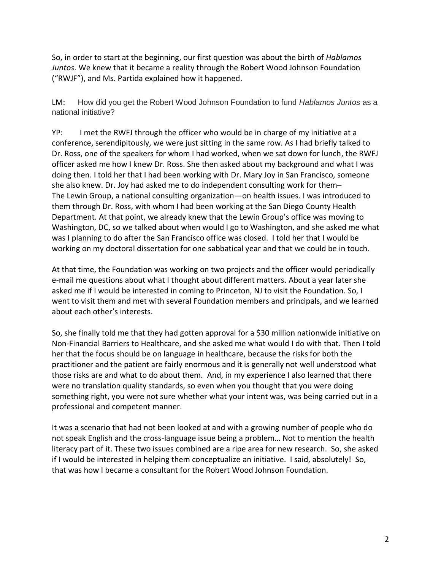So, in order to start at the beginning, our first question was about the birth of *Hablamos Juntos*. We knew that it became a reality through the Robert Wood Johnson Foundation ("RWJF"), and Ms. Partida explained how it happened.

LM: How did you get the Robert Wood Johnson Foundation to fund *Hablamos Juntos* as a national initiative?

YP: I met the RWFJ through the officer who would be in charge of my initiative at a conference, serendipitously, we were just sitting in the same row. As I had briefly talked to Dr. Ross, one of the speakers for whom I had worked, when we sat down for lunch, the RWFJ officer asked me how I knew Dr. Ross. She then asked about my background and what I was doing then. I told her that I had been working with Dr. Mary Joy in San Francisco, someone she also knew. Dr. Joy had asked me to do independent consulting work for them– The Lewin Group, a national consulting organization—on health issues. I was introduced to them through Dr. Ross, with whom I had been working at the San Diego County Health Department. At that point, we already knew that the Lewin Group's office was moving to Washington, DC, so we talked about when would I go to Washington, and she asked me what was I planning to do after the San Francisco office was closed. I told her that I would be working on my doctoral dissertation for one sabbatical year and that we could be in touch.

At that time, the Foundation was working on two projects and the officer would periodically e-mail me questions about what I thought about different matters. About a year later she asked me if I would be interested in coming to Princeton, NJ to visit the Foundation. So, I went to visit them and met with several Foundation members and principals, and we learned about each other's interests.

So, she finally told me that they had gotten approval for a \$30 million nationwide initiative on Non-Financial Barriers to Healthcare, and she asked me what would I do with that. Then I told her that the focus should be on language in healthcare, because the risks for both the practitioner and the patient are fairly enormous and it is generally not well understood what those risks are and what to do about them. And, in my experience I also learned that there were no translation quality standards, so even when you thought that you were doing something right, you were not sure whether what your intent was, was being carried out in a professional and competent manner.

It was a scenario that had not been looked at and with a growing number of people who do not speak English and the cross-language issue being a problem… Not to mention the health literacy part of it. These two issues combined are a ripe area for new research. So, she asked if I would be interested in helping them conceptualize an initiative. I said, absolutely! So, that was how I became a consultant for the Robert Wood Johnson Foundation.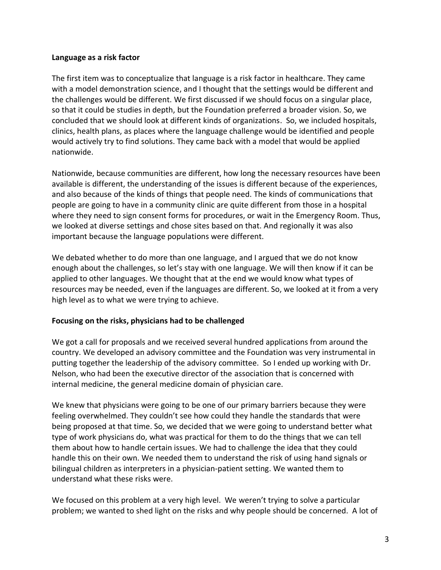#### **Language as a risk factor**

The first item was to conceptualize that language is a risk factor in healthcare. They came with a model demonstration science, and I thought that the settings would be different and the challenges would be different. We first discussed if we should focus on a singular place, so that it could be studies in depth, but the Foundation preferred a broader vision. So, we concluded that we should look at different kinds of organizations. So, we included hospitals, clinics, health plans, as places where the language challenge would be identified and people would actively try to find solutions. They came back with a model that would be applied nationwide.

Nationwide, because communities are different, how long the necessary resources have been available is different, the understanding of the issues is different because of the experiences, and also because of the kinds of things that people need. The kinds of communications that people are going to have in a community clinic are quite different from those in a hospital where they need to sign consent forms for procedures, or wait in the Emergency Room. Thus, we looked at diverse settings and chose sites based on that. And regionally it was also important because the language populations were different.

We debated whether to do more than one language, and I argued that we do not know enough about the challenges, so let's stay with one language. We will then know if it can be applied to other languages. We thought that at the end we would know what types of resources may be needed, even if the languages are different. So, we looked at it from a very high level as to what we were trying to achieve.

## **Focusing on the risks, physicians had to be challenged**

We got a call for proposals and we received several hundred applications from around the country. We developed an advisory committee and the Foundation was very instrumental in putting together the leadership of the advisory committee. So I ended up working with Dr. Nelson, who had been the executive director of the association that is concerned with internal medicine, the general medicine domain of physician care.

We knew that physicians were going to be one of our primary barriers because they were feeling overwhelmed. They couldn't see how could they handle the standards that were being proposed at that time. So, we decided that we were going to understand better what type of work physicians do, what was practical for them to do the things that we can tell them about how to handle certain issues. We had to challenge the idea that they could handle this on their own. We needed them to understand the risk of using hand signals or bilingual children as interpreters in a physician-patient setting. We wanted them to understand what these risks were.

We focused on this problem at a very high level. We weren't trying to solve a particular problem; we wanted to shed light on the risks and why people should be concerned. A lot of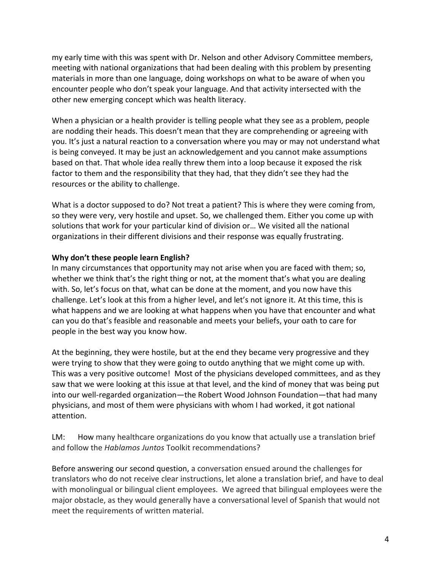my early time with this was spent with Dr. Nelson and other Advisory Committee members, meeting with national organizations that had been dealing with this problem by presenting materials in more than one language, doing workshops on what to be aware of when you encounter people who don't speak your language. And that activity intersected with the other new emerging concept which was health literacy.

When a physician or a health provider is telling people what they see as a problem, people are nodding their heads. This doesn't mean that they are comprehending or agreeing with you. It's just a natural reaction to a conversation where you may or may not understand what is being conveyed. It may be just an acknowledgement and you cannot make assumptions based on that. That whole idea really threw them into a loop because it exposed the risk factor to them and the responsibility that they had, that they didn't see they had the resources or the ability to challenge.

What is a doctor supposed to do? Not treat a patient? This is where they were coming from, so they were very, very hostile and upset. So, we challenged them. Either you come up with solutions that work for your particular kind of division or… We visited all the national organizations in their different divisions and their response was equally frustrating.

## **Why don't these people learn English?**

In many circumstances that opportunity may not arise when you are faced with them; so, whether we think that's the right thing or not, at the moment that's what you are dealing with. So, let's focus on that, what can be done at the moment, and you now have this challenge. Let's look at this from a higher level, and let's not ignore it. At this time, this is what happens and we are looking at what happens when you have that encounter and what can you do that's feasible and reasonable and meets your beliefs, your oath to care for people in the best way you know how.

At the beginning, they were hostile, but at the end they became very progressive and they were trying to show that they were going to outdo anything that we might come up with. This was a very positive outcome! Most of the physicians developed committees, and as they saw that we were looking at this issue at that level, and the kind of money that was being put into our well-regarded organization—the Robert Wood Johnson Foundation—that had many physicians, and most of them were physicians with whom I had worked, it got national attention.

LM: How many healthcare organizations do you know that actually use a translation brief and follow the *Hablamos Juntos* Toolkit recommendations?

Before answering our second question, a conversation ensued around the challenges for translators who do not receive clear instructions, let alone a translation brief, and have to deal with monolingual or bilingual client employees. We agreed that bilingual employees were the major obstacle, as they would generally have a conversational level of Spanish that would not meet the requirements of written material.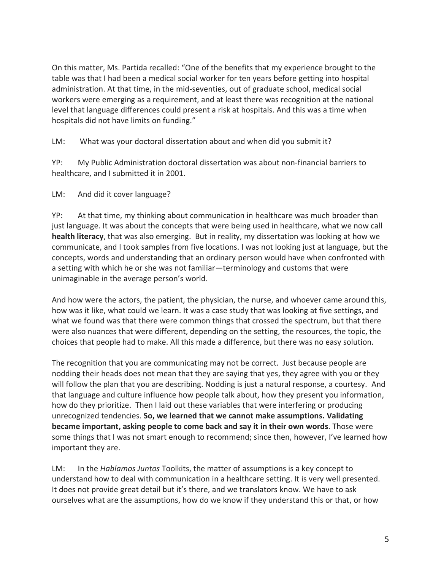On this matter, Ms. Partida recalled: "One of the benefits that my experience brought to the table was that I had been a medical social worker for ten years before getting into hospital administration. At that time, in the mid-seventies, out of graduate school, medical social workers were emerging as a requirement, and at least there was recognition at the national level that language differences could present a risk at hospitals. And this was a time when hospitals did not have limits on funding."

LM: What was your doctoral dissertation about and when did you submit it?

YP: My Public Administration doctoral dissertation was about non-financial barriers to healthcare, and I submitted it in 2001.

LM: And did it cover language?

YP: At that time, my thinking about communication in healthcare was much broader than just language. It was about the concepts that were being used in healthcare, what we now call **health literacy**, that was also emerging. But in reality, my dissertation was looking at how we communicate, and I took samples from five locations. I was not looking just at language, but the concepts, words and understanding that an ordinary person would have when confronted with a setting with which he or she was not familiar—terminology and customs that were unimaginable in the average person's world.

And how were the actors, the patient, the physician, the nurse, and whoever came around this, how was it like, what could we learn. It was a case study that was looking at five settings, and what we found was that there were common things that crossed the spectrum, but that there were also nuances that were different, depending on the setting, the resources, the topic, the choices that people had to make. All this made a difference, but there was no easy solution.

The recognition that you are communicating may not be correct. Just because people are nodding their heads does not mean that they are saying that yes, they agree with you or they will follow the plan that you are describing. Nodding is just a natural response, a courtesy. And that language and culture influence how people talk about, how they present you information, how do they prioritize. Then I laid out these variables that were interfering or producing unrecognized tendencies. **So, we learned that we cannot make assumptions. Validating became important, asking people to come back and say it in their own words**. Those were some things that I was not smart enough to recommend; since then, however, I've learned how important they are.

LM: In the *Hablamos Juntos* Toolkits, the matter of assumptions is a key concept to understand how to deal with communication in a healthcare setting. It is very well presented. It does not provide great detail but it's there, and we translators know. We have to ask ourselves what are the assumptions, how do we know if they understand this or that, or how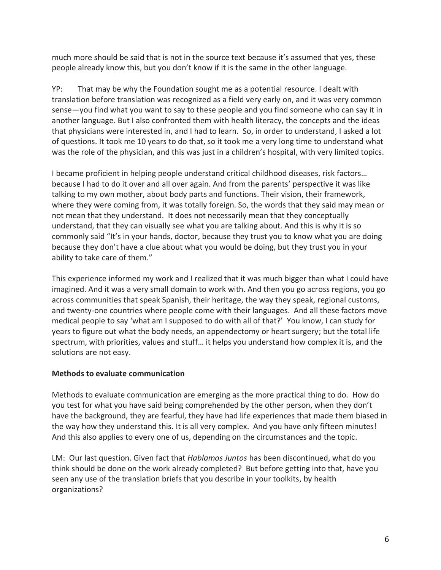much more should be said that is not in the source text because it's assumed that yes, these people already know this, but you don't know if it is the same in the other language.

YP: That may be why the Foundation sought me as a potential resource. I dealt with translation before translation was recognized as a field very early on, and it was very common sense—you find what you want to say to these people and you find someone who can say it in another language. But I also confronted them with health literacy, the concepts and the ideas that physicians were interested in, and I had to learn. So, in order to understand, I asked a lot of questions. It took me 10 years to do that, so it took me a very long time to understand what was the role of the physician, and this was just in a children's hospital, with very limited topics.

I became proficient in helping people understand critical childhood diseases, risk factors… because I had to do it over and all over again. And from the parents' perspective it was like talking to my own mother, about body parts and functions. Their vision, their framework, where they were coming from, it was totally foreign. So, the words that they said may mean or not mean that they understand. It does not necessarily mean that they conceptually understand, that they can visually see what you are talking about. And this is why it is so commonly said "It's in your hands, doctor, because they trust you to know what you are doing because they don't have a clue about what you would be doing, but they trust you in your ability to take care of them."

This experience informed my work and I realized that it was much bigger than what I could have imagined. And it was a very small domain to work with. And then you go across regions, you go across communities that speak Spanish, their heritage, the way they speak, regional customs, and twenty-one countries where people come with their languages. And all these factors move medical people to say 'what am I supposed to do with all of that?' You know, I can study for years to figure out what the body needs, an appendectomy or heart surgery; but the total life spectrum, with priorities, values and stuff… it helps you understand how complex it is, and the solutions are not easy.

#### **Methods to evaluate communication**

Methods to evaluate communication are emerging as the more practical thing to do. How do you test for what you have said being comprehended by the other person, when they don't have the background, they are fearful, they have had life experiences that made them biased in the way how they understand this. It is all very complex. And you have only fifteen minutes! And this also applies to every one of us, depending on the circumstances and the topic.

LM: Our last question. Given fact that *Hablamos Juntos* has been discontinued, what do you think should be done on the work already completed? But before getting into that, have you seen any use of the translation briefs that you describe in your toolkits, by health organizations?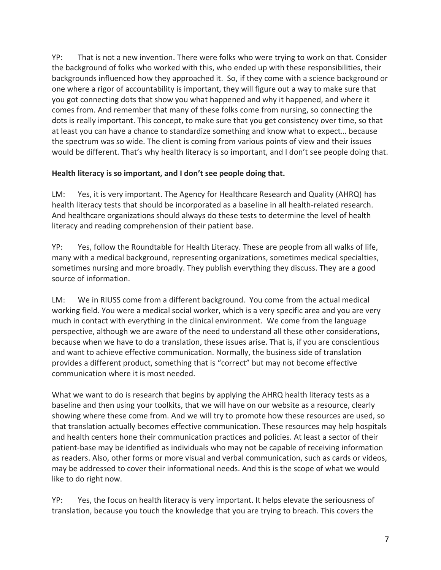YP: That is not a new invention. There were folks who were trying to work on that. Consider the background of folks who worked with this, who ended up with these responsibilities, their backgrounds influenced how they approached it. So, if they come with a science background or one where a rigor of accountability is important, they will figure out a way to make sure that you got connecting dots that show you what happened and why it happened, and where it comes from. And remember that many of these folks come from nursing, so connecting the dots is really important. This concept, to make sure that you get consistency over time, so that at least you can have a chance to standardize something and know what to expect… because the spectrum was so wide. The client is coming from various points of view and their issues would be different. That's why health literacy is so important, and I don't see people doing that.

## **Health literacy is so important, and I don't see people doing that.**

LM: Yes, it is very important. The Agency for Healthcare Research and Quality (AHRQ) has health literacy tests that should be incorporated as a baseline in all health-related research. And healthcare organizations should always do these tests to determine the level of health literacy and reading comprehension of their patient base.

YP: Yes, follow the Roundtable for Health Literacy. These are people from all walks of life, many with a medical background, representing organizations, sometimes medical specialties, sometimes nursing and more broadly. They publish everything they discuss. They are a good source of information.

LM: We in RIUSS come from a different background. You come from the actual medical working field. You were a medical social worker, which is a very specific area and you are very much in contact with everything in the clinical environment. We come from the language perspective, although we are aware of the need to understand all these other considerations, because when we have to do a translation, these issues arise. That is, if you are conscientious and want to achieve effective communication. Normally, the business side of translation provides a different product, something that is "correct" but may not become effective communication where it is most needed.

What we want to do is research that begins by applying the AHRQ health literacy tests as a baseline and then using your toolkits, that we will have on our website as a resource, clearly showing where these come from. And we will try to promote how these resources are used, so that translation actually becomes effective communication. These resources may help hospitals and health centers hone their communication practices and policies. At least a sector of their patient-base may be identified as individuals who may not be capable of receiving information as readers. Also, other forms or more visual and verbal communication, such as cards or videos, may be addressed to cover their informational needs. And this is the scope of what we would like to do right now.

YP: Yes, the focus on health literacy is very important. It helps elevate the seriousness of translation, because you touch the knowledge that you are trying to breach. This covers the